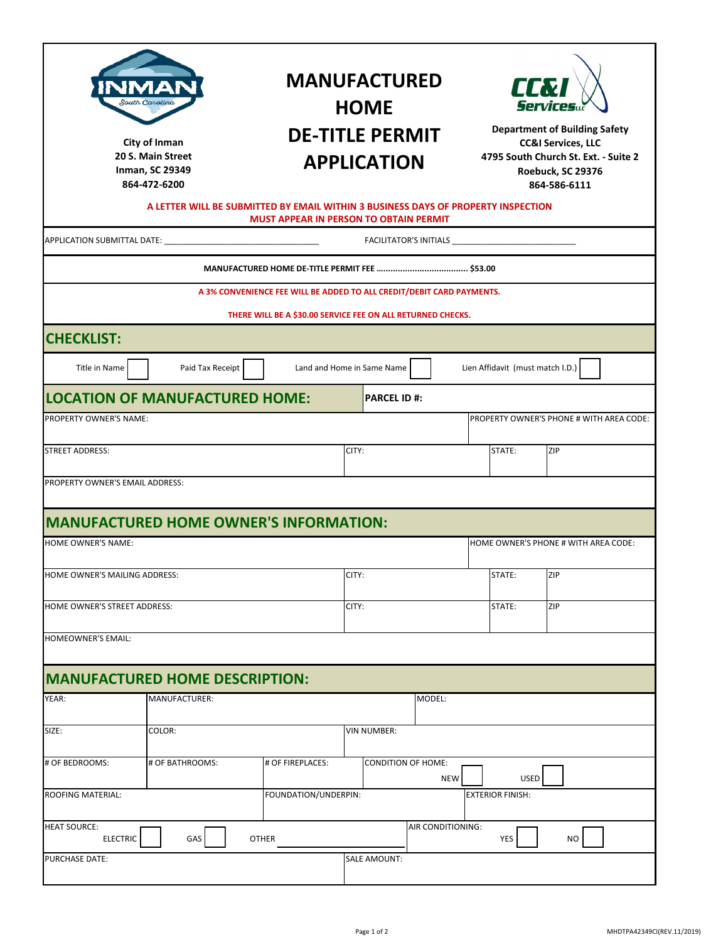| South Carolina<br>City of Inman<br>20 S. Main Street<br><b>Inman, SC 29349</b><br>864-472-6200                                     |                                       |                                                                       | <b>MANUFACTURED</b><br><b>HOME</b><br><b>DE-TITLE PERMIT</b><br><b>APPLICATION</b> |                   | <b>ART</b><br><b>Services</b><br><b>Department of Building Safety</b><br><b>CC&amp;I Services, LLC</b><br>4795 South Church St. Ext. - Suite 2<br>Roebuck, SC 29376<br>864-586-6111 |                                          |  |  |
|------------------------------------------------------------------------------------------------------------------------------------|---------------------------------------|-----------------------------------------------------------------------|------------------------------------------------------------------------------------|-------------------|-------------------------------------------------------------------------------------------------------------------------------------------------------------------------------------|------------------------------------------|--|--|
| A LETTER WILL BE SUBMITTED BY EMAIL WITHIN 3 BUSINESS DAYS OF PROPERTY INSPECTION<br><b>MUST APPEAR IN PERSON TO OBTAIN PERMIT</b> |                                       |                                                                       |                                                                                    |                   |                                                                                                                                                                                     |                                          |  |  |
|                                                                                                                                    |                                       |                                                                       |                                                                                    |                   |                                                                                                                                                                                     |                                          |  |  |
|                                                                                                                                    |                                       |                                                                       |                                                                                    |                   |                                                                                                                                                                                     |                                          |  |  |
|                                                                                                                                    |                                       | A 3% CONVENIENCE FEE WILL BE ADDED TO ALL CREDIT/DEBIT CARD PAYMENTS. |                                                                                    |                   |                                                                                                                                                                                     |                                          |  |  |
| THERE WILL BE A \$30.00 SERVICE FEE ON ALL RETURNED CHECKS.                                                                        |                                       |                                                                       |                                                                                    |                   |                                                                                                                                                                                     |                                          |  |  |
| <b>CHECKLIST:</b>                                                                                                                  |                                       |                                                                       |                                                                                    |                   |                                                                                                                                                                                     |                                          |  |  |
| Title in Name                                                                                                                      | Paid Tax Receipt                      |                                                                       | Land and Home in Same Name                                                         |                   | Lien Affidavit (must match I.D.)                                                                                                                                                    |                                          |  |  |
|                                                                                                                                    | <b>LOCATION OF MANUFACTURED HOME:</b> |                                                                       | <b>PARCEL ID #:</b>                                                                |                   |                                                                                                                                                                                     |                                          |  |  |
| PROPERTY OWNER'S NAME:                                                                                                             |                                       |                                                                       |                                                                                    |                   |                                                                                                                                                                                     | PROPERTY OWNER'S PHONE # WITH AREA CODE: |  |  |
| STREET ADDRESS:                                                                                                                    |                                       |                                                                       | CITY:                                                                              |                   | STATE:                                                                                                                                                                              | ZIP                                      |  |  |
| PROPERTY OWNER'S EMAIL ADDRESS:                                                                                                    |                                       |                                                                       |                                                                                    |                   |                                                                                                                                                                                     |                                          |  |  |
|                                                                                                                                    |                                       |                                                                       |                                                                                    |                   |                                                                                                                                                                                     |                                          |  |  |
| <b>MANUFACTURED HOME OWNER'S INFORMATION:</b><br><b>HOME OWNER'S NAME:</b><br>HOME OWNER'S PHONE # WITH AREA CODE:                 |                                       |                                                                       |                                                                                    |                   |                                                                                                                                                                                     |                                          |  |  |
|                                                                                                                                    |                                       |                                                                       |                                                                                    |                   |                                                                                                                                                                                     |                                          |  |  |
| HOME OWNER'S MAILING ADDRESS:                                                                                                      |                                       |                                                                       | CITY:                                                                              |                   | STATE:                                                                                                                                                                              | ZIP                                      |  |  |
| HOME OWNER'S STREET ADDRESS:                                                                                                       |                                       |                                                                       | CITY:                                                                              |                   | STATE:                                                                                                                                                                              | ZIP                                      |  |  |
| <b>HOMEOWNER'S EMAIL:</b>                                                                                                          |                                       |                                                                       |                                                                                    |                   |                                                                                                                                                                                     |                                          |  |  |
|                                                                                                                                    | <b>MANUFACTURED HOME DESCRIPTION:</b> |                                                                       |                                                                                    |                   |                                                                                                                                                                                     |                                          |  |  |
| YEAR:                                                                                                                              | <b>MANUFACTURER:</b>                  |                                                                       |                                                                                    | MODEL:            |                                                                                                                                                                                     |                                          |  |  |
| SIZE:                                                                                                                              | COLOR:                                |                                                                       | VIN NUMBER:                                                                        |                   |                                                                                                                                                                                     |                                          |  |  |
| # OF BEDROOMS:                                                                                                                     | # OF BATHROOMS:                       | # OF FIREPLACES:                                                      | <b>CONDITION OF HOME:</b>                                                          |                   |                                                                                                                                                                                     |                                          |  |  |
| <b>ROOFING MATERIAL:</b>                                                                                                           | FOUNDATION/UNDERPIN:                  |                                                                       |                                                                                    | <b>NEW</b>        | <b>USED</b><br><b>EXTERIOR FINISH:</b>                                                                                                                                              |                                          |  |  |
| <b>HEAT SOURCE:</b>                                                                                                                |                                       |                                                                       |                                                                                    | AIR CONDITIONING: |                                                                                                                                                                                     |                                          |  |  |
| <b>ELECTRIC</b>                                                                                                                    |                                       |                                                                       | YES                                                                                | NO                |                                                                                                                                                                                     |                                          |  |  |
| <b>PURCHASE DATE:</b>                                                                                                              | <b>SALE AMOUNT:</b>                   |                                                                       |                                                                                    |                   |                                                                                                                                                                                     |                                          |  |  |